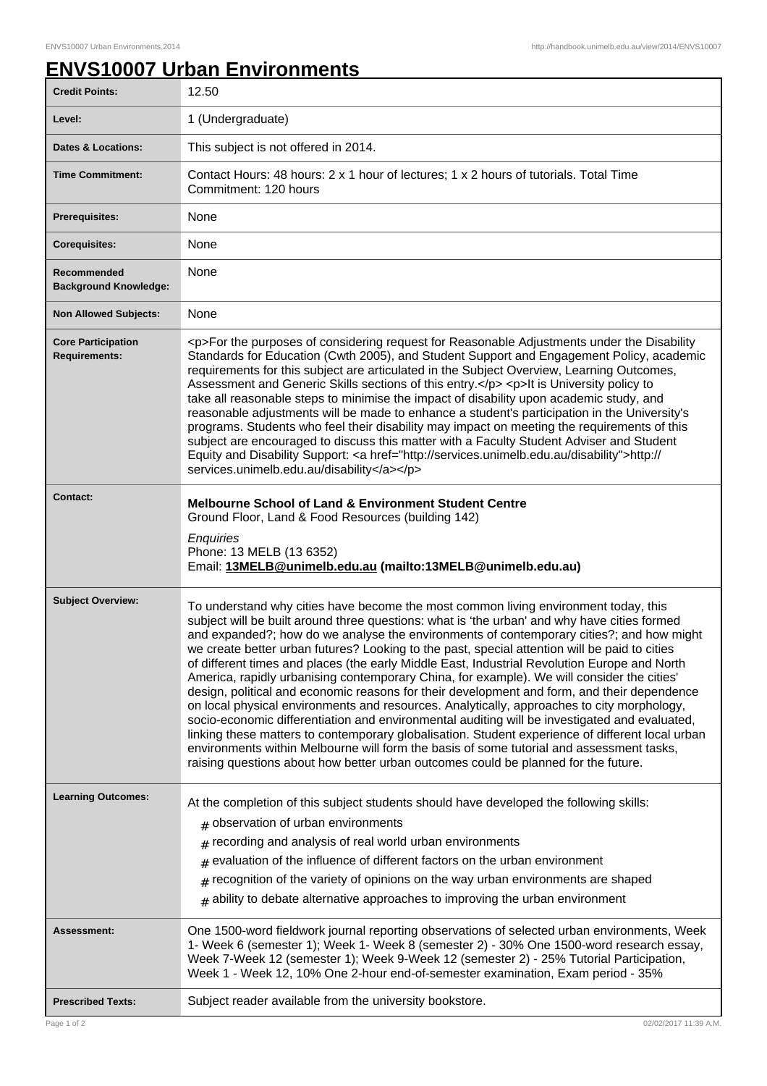## **ENVS10007 Urban Environments**

| <b>Credit Points:</b>                             | 12.50                                                                                                                                                                                                                                                                                                                                                                                                                                                                                                                                                                                                                                                                                                                                                                                                                                                                                                                                                                                                                                                                                                                                                              |
|---------------------------------------------------|--------------------------------------------------------------------------------------------------------------------------------------------------------------------------------------------------------------------------------------------------------------------------------------------------------------------------------------------------------------------------------------------------------------------------------------------------------------------------------------------------------------------------------------------------------------------------------------------------------------------------------------------------------------------------------------------------------------------------------------------------------------------------------------------------------------------------------------------------------------------------------------------------------------------------------------------------------------------------------------------------------------------------------------------------------------------------------------------------------------------------------------------------------------------|
| Level:                                            | 1 (Undergraduate)                                                                                                                                                                                                                                                                                                                                                                                                                                                                                                                                                                                                                                                                                                                                                                                                                                                                                                                                                                                                                                                                                                                                                  |
| <b>Dates &amp; Locations:</b>                     | This subject is not offered in 2014.                                                                                                                                                                                                                                                                                                                                                                                                                                                                                                                                                                                                                                                                                                                                                                                                                                                                                                                                                                                                                                                                                                                               |
| <b>Time Commitment:</b>                           | Contact Hours: 48 hours: 2 x 1 hour of lectures; 1 x 2 hours of tutorials. Total Time<br>Commitment: 120 hours                                                                                                                                                                                                                                                                                                                                                                                                                                                                                                                                                                                                                                                                                                                                                                                                                                                                                                                                                                                                                                                     |
| Prerequisites:                                    | None                                                                                                                                                                                                                                                                                                                                                                                                                                                                                                                                                                                                                                                                                                                                                                                                                                                                                                                                                                                                                                                                                                                                                               |
| <b>Corequisites:</b>                              | None                                                                                                                                                                                                                                                                                                                                                                                                                                                                                                                                                                                                                                                                                                                                                                                                                                                                                                                                                                                                                                                                                                                                                               |
| Recommended<br><b>Background Knowledge:</b>       | None                                                                                                                                                                                                                                                                                                                                                                                                                                                                                                                                                                                                                                                                                                                                                                                                                                                                                                                                                                                                                                                                                                                                                               |
| <b>Non Allowed Subjects:</b>                      | None                                                                                                                                                                                                                                                                                                                                                                                                                                                                                                                                                                                                                                                                                                                                                                                                                                                                                                                                                                                                                                                                                                                                                               |
| <b>Core Participation</b><br><b>Requirements:</b> | <p>For the purposes of considering request for Reasonable Adjustments under the Disability<br/>Standards for Education (Cwth 2005), and Student Support and Engagement Policy, academic<br/>requirements for this subject are articulated in the Subject Overview, Learning Outcomes,<br/>Assessment and Generic Skills sections of this entry.</p> <p>lt is University policy to<br/>take all reasonable steps to minimise the impact of disability upon academic study, and<br/>reasonable adjustments will be made to enhance a student's participation in the University's<br/>programs. Students who feel their disability may impact on meeting the requirements of this<br/>subject are encouraged to discuss this matter with a Faculty Student Adviser and Student<br/>Equity and Disability Support: &lt; a href="http://services.unimelb.edu.au/disability"&gt;http://<br/>services.unimelb.edu.au/disability</p>                                                                                                                                                                                                                                       |
| <b>Contact:</b>                                   | <b>Melbourne School of Land &amp; Environment Student Centre</b><br>Ground Floor, Land & Food Resources (building 142)<br>Enquiries<br>Phone: 13 MELB (13 6352)                                                                                                                                                                                                                                                                                                                                                                                                                                                                                                                                                                                                                                                                                                                                                                                                                                                                                                                                                                                                    |
|                                                   | Email: 13MELB@unimelb.edu.au (mailto:13MELB@unimelb.edu.au)                                                                                                                                                                                                                                                                                                                                                                                                                                                                                                                                                                                                                                                                                                                                                                                                                                                                                                                                                                                                                                                                                                        |
| <b>Subject Overview:</b>                          | To understand why cities have become the most common living environment today, this<br>subject will be built around three questions: what is 'the urban' and why have cities formed<br>and expanded?; how do we analyse the environments of contemporary cities?; and how might<br>we create better urban futures? Looking to the past, special attention will be paid to cities<br>of different times and places (the early Middle East, Industrial Revolution Europe and North<br>America, rapidly urbanising contemporary China, for example). We will consider the cities'<br>design, political and economic reasons for their development and form, and their dependence<br>on local physical environments and resources. Analytically, approaches to city morphology,<br>socio-economic differentiation and environmental auditing will be investigated and evaluated,<br>linking these matters to contemporary globalisation. Student experience of different local urban<br>environments within Melbourne will form the basis of some tutorial and assessment tasks,<br>raising questions about how better urban outcomes could be planned for the future. |
| <b>Learning Outcomes:</b>                         | At the completion of this subject students should have developed the following skills:<br>$#$ observation of urban environments<br>recording and analysis of real world urban environments<br>#<br>evaluation of the influence of different factors on the urban environment<br>#<br>recognition of the variety of opinions on the way urban environments are shaped<br>$\#$<br>$*$ ability to debate alternative approaches to improving the urban environment                                                                                                                                                                                                                                                                                                                                                                                                                                                                                                                                                                                                                                                                                                    |
| Assessment:                                       | One 1500-word fieldwork journal reporting observations of selected urban environments, Week<br>1- Week 6 (semester 1); Week 1- Week 8 (semester 2) - 30% One 1500-word research essay,<br>Week 7-Week 12 (semester 1); Week 9-Week 12 (semester 2) - 25% Tutorial Participation,<br>Week 1 - Week 12, 10% One 2-hour end-of-semester examination, Exam period - 35%                                                                                                                                                                                                                                                                                                                                                                                                                                                                                                                                                                                                                                                                                                                                                                                                |